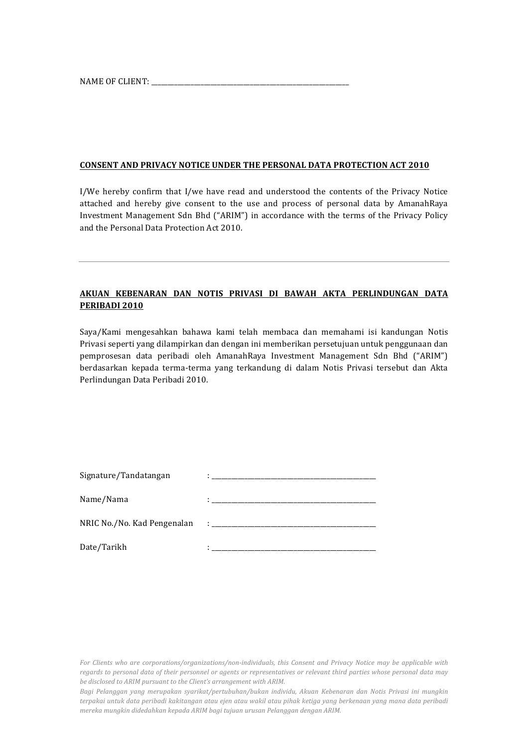NAME OF CLIENT: \_\_\_\_\_\_\_\_\_\_\_\_\_\_\_\_\_\_\_\_\_\_\_\_\_\_\_\_\_\_\_\_\_\_\_\_\_\_\_\_\_\_\_\_\_\_\_\_\_\_\_\_\_\_\_\_\_\_\_\_

### **CONSENT AND PRIVACY NOTICE UNDER THE PERSONAL DATA PROTECTION ACT 2010**

I/We hereby confirm that I/we have read and understood the contents of the Privacy Notice attached and hereby give consent to the use and process of personal data by AmanahRaya Investment Management Sdn Bhd ("ARIM") in accordance with the terms of the Privacy Policy and the Personal Data Protection Act 2010.

# **AKUAN KEBENARAN DAN NOTIS PRIVASI DI BAWAH AKTA PERLINDUNGAN DATA PERIBADI 2010**

Saya/Kami mengesahkan bahawa kami telah membaca dan memahami isi kandungan Notis Privasi seperti yang dilampirkan dan dengan ini memberikan persetujuan untuk penggunaan dan pemprosesan data peribadi oleh AmanahRaya Investment Management Sdn Bhd ("ARIM") berdasarkan kepada terma-terma yang terkandung di dalam Notis Privasi tersebut dan Akta Perlindungan Data Peribadi 2010.

| Signature/Tandatangan       |                                                                                                                      |
|-----------------------------|----------------------------------------------------------------------------------------------------------------------|
| Name/Nama                   |                                                                                                                      |
| NRIC No./No. Kad Pengenalan | <u> 1986 - Johann Barn, mars eta biztanleria eta biztanleria eta biztanleria eta biztanleria eta biztanleria eta</u> |
| Date/Tarikh                 |                                                                                                                      |

For Clients who are corporations/organizations/non-individuals, this Consent and Privacy Notice may be applicable with *regards* to personal data of their personnel or agents or representatives or relevant third parties whose personal data may be disclosed to ARIM pursuant to the Client's arrangement with ARIM.

*Bagi Pelanggan yang merupakan syarikat/pertubuhan/bukan individu, Akuan Kebenaran dan Notis Privasi ini mungkin*  terpakai untuk data peribadi kakitangan atau ejen atau wakil atau pihak ketiga yang berkenaan yang mana data peribadi *mereka mungkin didedahkan kepada ARIM bagi tujuan urusan Pelanggan dengan ARIM.*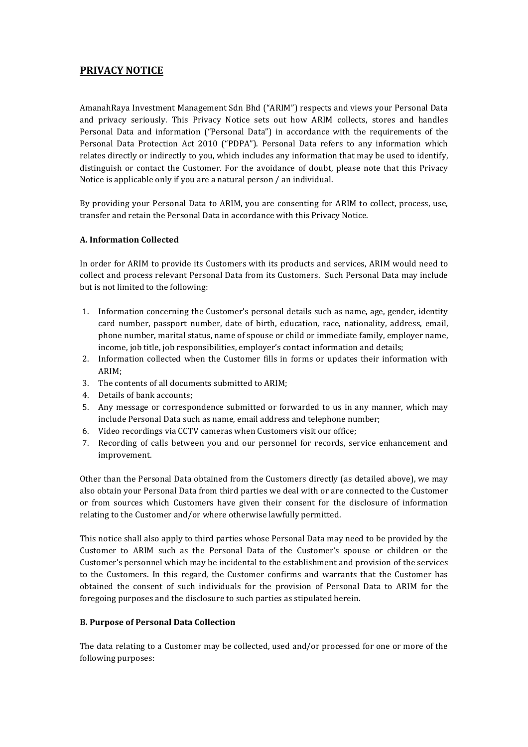# **PRIVACY NOTICE**

AmanahRaya Investment Management Sdn Bhd ("ARIM") respects and views your Personal Data and privacy seriously. This Privacy Notice sets out how ARIM collects, stores and handles Personal Data and information ("Personal Data") in accordance with the requirements of the Personal Data Protection Act 2010 ("PDPA"). Personal Data refers to any information which relates directly or indirectly to you, which includes any information that may be used to identify, distinguish or contact the Customer. For the avoidance of doubt, please note that this Privacy Notice is applicable only if you are a natural person / an individual.

By providing your Personal Data to ARIM, you are consenting for ARIM to collect, process, use, transfer and retain the Personal Data in accordance with this Privacy Notice.

# **A. Information Collected**

In order for ARIM to provide its Customers with its products and services, ARIM would need to collect and process relevant Personal Data from its Customers. Such Personal Data may include but is not limited to the following:

- 1. Information concerning the Customer's personal details such as name, age, gender, identity card number, passport number, date of birth, education, race, nationality, address, email, phone number, marital status, name of spouse or child or immediate family, employer name, income, job title, job responsibilities, employer's contact information and details;
- 2. Information collected when the Customer fills in forms or updates their information with ARIM;
- 3. The contents of all documents submitted to ARIM;
- 4. Details of bank accounts:
- 5. Any message or correspondence submitted or forwarded to us in any manner, which may include Personal Data such as name, email address and telephone number;
- 6. Video recordings via CCTV cameras when Customers visit our office:
- 7. Recording of calls between you and our personnel for records, service enhancement and improvement.

Other than the Personal Data obtained from the Customers directly (as detailed above), we may also obtain your Personal Data from third parties we deal with or are connected to the Customer or from sources which Customers have given their consent for the disclosure of information relating to the Customer and/or where otherwise lawfully permitted.

This notice shall also apply to third parties whose Personal Data may need to be provided by the Customer to ARIM such as the Personal Data of the Customer's spouse or children or the Customer's personnel which may be incidental to the establishment and provision of the services to the Customers. In this regard, the Customer confirms and warrants that the Customer has obtained the consent of such individuals for the provision of Personal Data to ARIM for the foregoing purposes and the disclosure to such parties as stipulated herein.

# **B. Purpose of Personal Data Collection**

The data relating to a Customer may be collected, used and/or processed for one or more of the following purposes: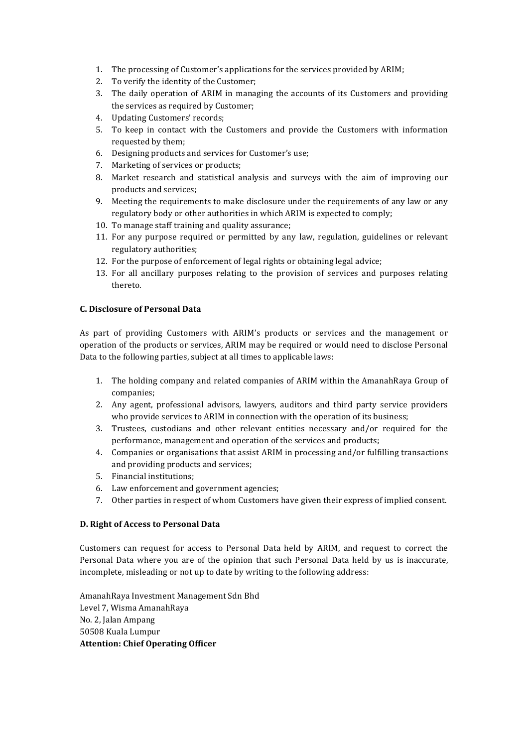- 1. The processing of Customer's applications for the services provided by ARIM;
- 2. To verify the identity of the Customer;
- 3. The daily operation of ARIM in managing the accounts of its Customers and providing the services as required by Customer;
- 4. Updating Customers' records;
- 5. To keep in contact with the Customers and provide the Customers with information requested by them;
- 6. Designing products and services for Customer's use;
- 7. Marketing of services or products;
- 8. Market research and statistical analysis and surveys with the aim of improving our products and services;
- 9. Meeting the requirements to make disclosure under the requirements of any law or any regulatory body or other authorities in which ARIM is expected to comply;
- 10. To manage staff training and quality assurance;
- 11. For any purpose required or permitted by any law, regulation, guidelines or relevant regulatory authorities;
- 12. For the purpose of enforcement of legal rights or obtaining legal advice;
- 13. For all ancillary purposes relating to the provision of services and purposes relating thereto.

#### **C. Disclosure of Personal Data**

As part of providing Customers with ARIM's products or services and the management or operation of the products or services, ARIM may be required or would need to disclose Personal Data to the following parties, subject at all times to applicable laws:

- 1. The holding company and related companies of ARIM within the AmanahRaya Group of companies;
- 2. Any agent, professional advisors, lawyers, auditors and third party service providers who provide services to ARIM in connection with the operation of its business;
- 3. Trustees, custodians and other relevant entities necessary and/or required for the performance, management and operation of the services and products;
- 4. Companies or organisations that assist ARIM in processing and/or fulfilling transactions and providing products and services;
- 5. Financial institutions;
- 6. Law enforcement and government agencies;
- 7. Other parties in respect of whom Customers have given their express of implied consent.

#### **D.** Right of Access to Personal Data

Customers can request for access to Personal Data held by ARIM, and request to correct the Personal Data where you are of the opinion that such Personal Data held by us is inaccurate, incomplete, misleading or not up to date by writing to the following address:

AmanahRaya Investment Management Sdn Bhd Level 7, Wisma AmanahRaya No. 2, Jalan Ampang 50508 Kuala Lumpur **Attention: Chief Operating Officer**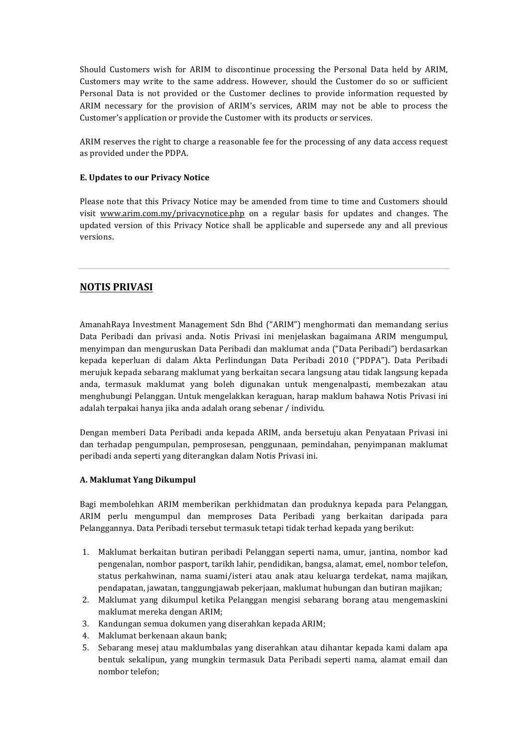Should Customers wish for ARIM to discontinue processing the Personal Data held by ARIM, Customers may write to the same address. However, should the Customer do so or sufficient Personal Data is not provided or the Customer declines to provide information requested by ARIM necessary for the provision of ARIM's services, ARIM may not be able to process the Customer's application or provide the Customer with its products or services.

ARIM reserves the right to charge a reasonable fee for the processing of any data access request as provided under the PDPA.

#### **E. Updates to our Privacy Notice**

Please note that this Privacy Notice may be amended from time to time and Customers should visit www.arim.com.my/privacynotice.php on a regular basis for updates and changes. The updated version of this Privacy Notice shall be applicable and supersede any and all previous versions.

# **NOTIS PRIVASI**

AmanahRaya Investment Management Sdn Bhd ("ARIM") menghormati dan memandang serius Data Peribadi dan privasi anda. Notis Privasi ini menjelaskan bagaimana ARIM mengumpul, menyimpan dan menguruskan Data Peribadi dan maklumat anda ("Data Peribadi") berdasarkan kepada keperluan di dalam Akta Perlindungan Data Peribadi 2010 ("PDPA"). Data Peribadi merujuk kepada sebarang maklumat yang berkaitan secara langsung atau tidak langsung kepada anda, termasuk maklumat yang boleh digunakan untuk mengenalpasti, membezakan atau menghubungi Pelanggan. Untuk mengelakkan keraguan, harap maklum bahawa Notis Privasi ini adalah terpakai hanya jika anda adalah orang sebenar / individu.

Dengan memberi Data Peribadi anda kepada ARIM, anda bersetuju akan Penyataan Privasi ini dan terhadap pengumpulan, pemprosesan, penggunaan, pemindahan, penyimpanan maklumat peribadi anda seperti yang diterangkan dalam Notis Privasi ini.

# **A. Maklumat Yang Dikumpul**

Bagi membolehkan ARIM memberikan perkhidmatan dan produknya kepada para Pelanggan, ARIM perlu mengumpul dan memproses Data Peribadi yang berkaitan daripada para Pelanggannya. Data Peribadi tersebut termasuk tetapi tidak terhad kepada yang berikut:

- 1. Maklumat berkaitan butiran peribadi Pelanggan seperti nama, umur, jantina, nombor kad pengenalan, nombor pasport, tarikh lahir, pendidikan, bangsa, alamat, emel, nombor telefon, status perkahwinan, nama suami/isteri atau anak atau keluarga terdekat, nama majikan, pendapatan, jawatan, tanggungjawab pekerjaan, maklumat hubungan dan butiran majikan;
- 2. Maklumat yang dikumpul ketika Pelanggan mengisi sebarang borang atau mengemaskini maklumat mereka dengan ARIM;
- 3. Kandungan semua dokumen yang diserahkan kepada ARIM;
- 4. Maklumat berkenaan akaun bank;
- 5. Sebarang mesej atau maklumbalas yang diserahkan atau dihantar kepada kami dalam apa bentuk sekalipun, yang mungkin termasuk Data Peribadi seperti nama, alamat email dan nombor telefon;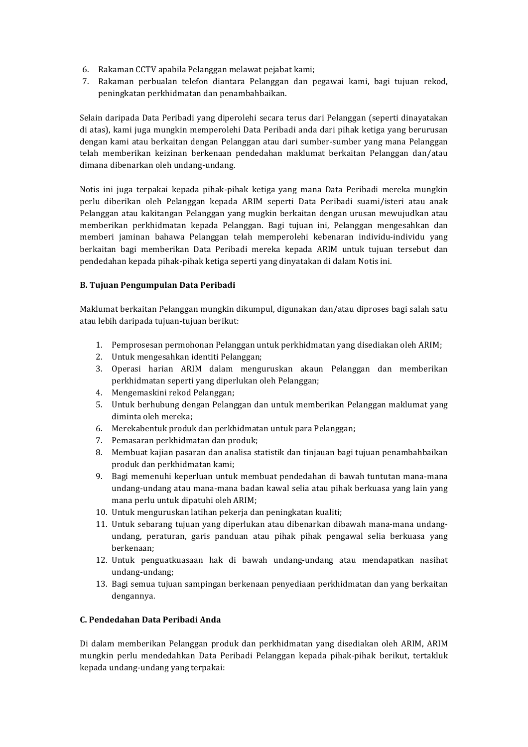- 6. Rakaman CCTV apabila Pelanggan melawat pejabat kami;
- 7. Rakaman perbualan telefon diantara Pelanggan dan pegawai kami, bagi tujuan rekod, peningkatan perkhidmatan dan penambahbaikan.

Selain daripada Data Peribadi yang diperolehi secara terus dari Pelanggan (seperti dinayatakan di atas), kami juga mungkin memperolehi Data Peribadi anda dari pihak ketiga yang berurusan dengan kami atau berkaitan dengan Pelanggan atau dari sumber-sumber yang mana Pelanggan telah memberikan keizinan berkenaan pendedahan maklumat berkaitan Pelanggan dan/atau dimana dibenarkan oleh undang-undang.

Notis ini juga terpakai kepada pihak-pihak ketiga yang mana Data Peribadi mereka mungkin perlu diberikan oleh Pelanggan kepada ARIM seperti Data Peribadi suami/isteri atau anak Pelanggan atau kakitangan Pelanggan yang mugkin berkaitan dengan urusan mewujudkan atau memberikan perkhidmatan kepada Pelanggan. Bagi tujuan ini, Pelanggan mengesahkan dan memberi jaminan bahawa Pelanggan telah memperolehi kebenaran individu-individu yang berkaitan bagi memberikan Data Peribadi mereka kepada ARIM untuk tujuan tersebut dan pendedahan kepada pihak-pihak ketiga seperti yang dinyatakan di dalam Notis ini.

#### **B. Tujuan Pengumpulan Data Peribadi**

Maklumat berkaitan Pelanggan mungkin dikumpul, digunakan dan/atau diproses bagi salah satu atau lebih daripada tujuan-tujuan berikut:

- 1. Pemprosesan permohonan Pelanggan untuk perkhidmatan yang disediakan oleh ARIM;
- 2. Untuk mengesahkan identiti Pelanggan;
- 3. Operasi harian ARIM dalam menguruskan akaun Pelanggan dan memberikan perkhidmatan seperti yang diperlukan oleh Pelanggan;
- 4. Mengemaskini rekod Pelanggan;
- 5. Untuk berhubung dengan Pelanggan dan untuk memberikan Pelanggan maklumat yang diminta oleh mereka;
- 6. Merekabentuk produk dan perkhidmatan untuk para Pelanggan;
- 7. Pemasaran perkhidmatan dan produk;
- 8. Membuat kajian pasaran dan analisa statistik dan tinjauan bagi tujuan penambahbaikan produk dan perkhidmatan kami;
- 9. Bagi memenuhi keperluan untuk membuat pendedahan di bawah tuntutan mana-mana undang-undang atau mana-mana badan kawal selia atau pihak berkuasa yang lain yang mana perlu untuk dipatuhi oleh ARIM;
- 10. Untuk menguruskan latihan pekerja dan peningkatan kualiti;
- 11. Untuk sebarang tujuan yang diperlukan atau dibenarkan dibawah mana-mana undangundang, peraturan, garis panduan atau pihak pihak pengawal selia berkuasa yang berkenaan;
- 12. Untuk penguatkuasaan hak di bawah undang-undang atau mendapatkan nasihat undang-undang;
- 13. Bagi semua tujuan sampingan berkenaan penyediaan perkhidmatan dan yang berkaitan dengannya.

#### **C. Pendedahan Data Peribadi Anda**

Di dalam memberikan Pelanggan produk dan perkhidmatan yang disediakan oleh ARIM, ARIM mungkin perlu mendedahkan Data Peribadi Pelanggan kepada pihak-pihak berikut, tertakluk kepada undang-undang vang terpakai: